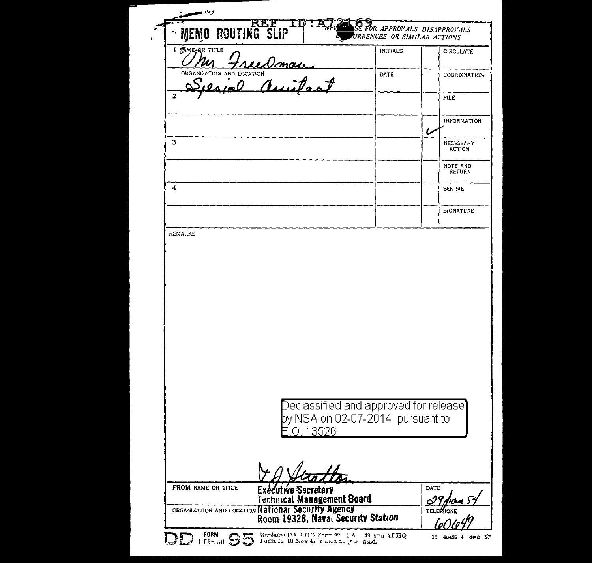| <b>00 ROUTING SLIP</b>                                                |                                                          | URRENCES OR SIMILAR ACTIONS                                                                    | E FOR APPROVALS DISAPPROVALS      |
|-----------------------------------------------------------------------|----------------------------------------------------------|------------------------------------------------------------------------------------------------|-----------------------------------|
| 1 SAME-OR TITLE                                                       |                                                          | <b>INITIALS</b>                                                                                | <b>CIRCULATE</b>                  |
| <u>Uny Freedman</u><br>ORGANIZATION AND LOCATION<br>Speared Assistant |                                                          | DATE                                                                                           | COORDINATION                      |
| $\overline{2}$                                                        |                                                          |                                                                                                | <b>FILE</b>                       |
|                                                                       |                                                          |                                                                                                | INFORMATION<br>ι                  |
| з                                                                     |                                                          |                                                                                                | <b>NECESSARY</b><br><b>ACTION</b> |
|                                                                       |                                                          |                                                                                                | NOTE AND<br>RETURN                |
| 4                                                                     |                                                          |                                                                                                | SEE ME                            |
|                                                                       |                                                          |                                                                                                | SIGNATURE                         |
| <b>REMARKS</b>                                                        |                                                          |                                                                                                |                                   |
|                                                                       |                                                          |                                                                                                |                                   |
|                                                                       | O. 13526                                                 | $\bigcirc$ eclassified and approved for release $\bigcirc$<br>by NSA on 02-07-2014 pursuant to |                                   |
|                                                                       |                                                          |                                                                                                |                                   |
| FROM NAME OR TITLE                                                    | Executive Secretary<br><b>Technical Management Board</b> |                                                                                                | <b>DATE</b>                       |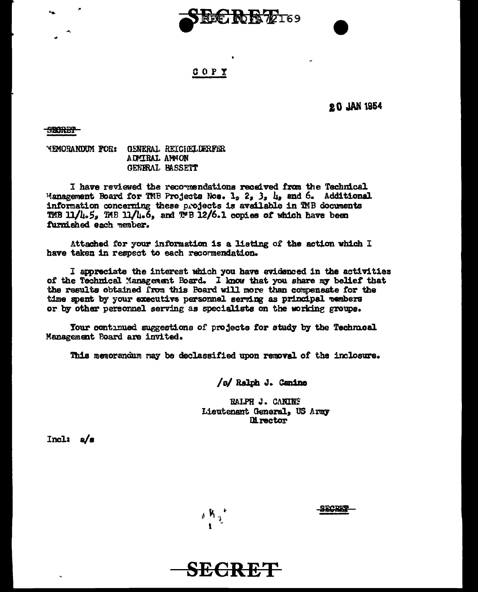

# COPY

**20 JAN 1954** 

<del>9BCRET</del>

**MEMORANDUM FOR: GENERAL REICHELDERFER** ADMIRAL ANNON GENERAL BASSETT

I have reviewed the recommendations received from the Technical Management Board for TMB Projects Nos.  $1_9$   $2_9$   $3_9$   $1_9$  and 6. Additional information concerning these projects is available in TMB documents TMB 11/4.5, TMB 11/4.6, and TMB 12/6.1 copies of which have been furnished each member.

Attached for your information is a listing of the action which I have taken in respect to each recornendation.

I appreciate the interest which you have evidenced in the activities of the Technical Management Board. I know that you share my belief that the results obtained from this Board will more than compensate for the time spent by your executive personnel serving as principal nembers or by other personnel serving as specialists on the working groups.

Your continued suggestions of projects for study by the Technical Management Poard are invited.

This memorandum may be declassified upon removal of the inclosure.

/s/ Ralph J. Canine

RALPH J. CANING Lieutenant General, US Army **Director** 

 $Incl:  $a/s$$ 

 $_{\rm g}$  K  $_{\rm g}$ 

**SECRET** 

**TARK**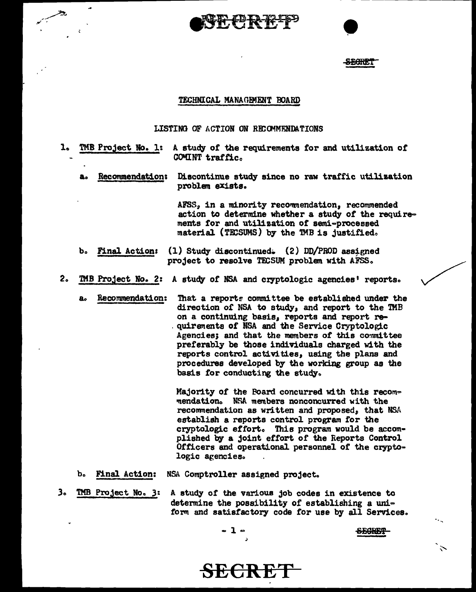SECRET

## TECHNICAL MANAGEMENT BOARD

### LISTING OF ACTION ON RECOMMENDATIONS

- 1. TMB Project No. 1: A study of the requirements for and utilization of COMINT traffic. Recommendation: Discontinue study since no raw traffic utilization а. problem exists. AFSS, in a minority recommendation, recommended action to determine whether a study of the requirements for and utilization of semi-processed material (TECSUMS) by the TMB is justified. ъ. **Final Action:** (1) Study discontinued. (2) DD/PROD assigned project to resolve TECSUM problem with AFSS.  $2<sub>o</sub>$ TMB Project No. 2: A study of NSA and cryptologic agencies' reports. Recommendation: That a reports committee be established under the  $a<sub>o</sub>$ direction of NSA to study, and report to the TMB on a continuing basis, reports and report requirements of NSA and the Service Cryptologic Agencies; and that the members of this committee preferably be those individuals charged with the reports control activities, using the plans and procedures developed by the working group as the basis for conducting the study. Majority of the Poard concurred with this recommendation. NSA members nonconcurred with the recommendation as written and proposed, that NSA establish a reports control program for the cryptologic effort. This program would be accomplished by a joint effort of the Reports Control
	- **Final Action:** NSA Comptroller assigned project. ъ.

logic agencies.

TMB Project No. 3: з. A study of the various job codes in existence to determine the possibility of establishing a uniform and satisfactory code for use by all Services.

Officers and operational personnel of the crypto-

 $\mathbf{1}$   $\in$ 

SECRET

<del>SECRET</del>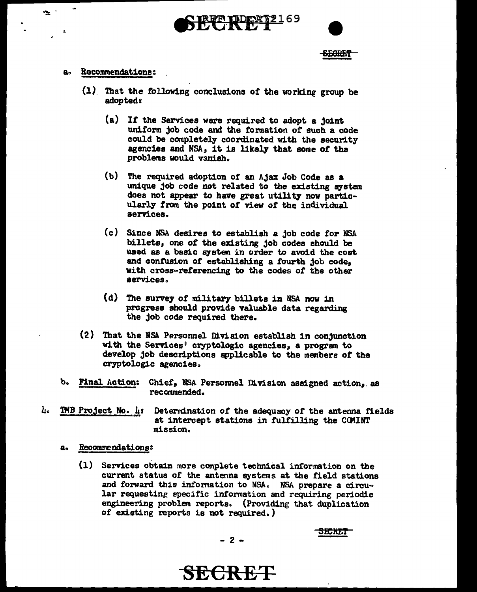## **SECRET**

#### Recommendations:  $\mathbf{a}$

 $\bullet$  :

- (1) That the following conclusions of the working group be adopted?
	- (a) If the Services were required to adopt a joint uniform job code and the formation of such a code could be completely coordinated with the security agencies and NSA, it is likely that some of the problems would vanish.
	- (b) The required adoption of an Ajax Job Code as a unique job code not related to the existing system does not appear to have great utility now particularly from the point of view of the individual services.
	- (c) Since NSA desires to establish a job code for NSA billets, one of the existing job codes should be used as a basic system in order to avoid the cost and confusion of establishing a fourth job code, with cross-referencing to the codes of the other services.
	- (d) The survey of military billets in NSA now in progress should provide valuable data regarding the job code required there.
- (2) That the NSA Personnel Division establish in conjunction with the Services' cryptologic agencies, a program to develop job descriptions applicable to the members of the cryptologic agencies.
- ১. Chief, NSA Personnel Division assigned action, as **Final Action:** recommended.
- <u>، ا</u> **TMB** Project No.  $\mu$ : Determination of the adequacy of the antenna fields at intercept stations in fulfilling the COMINT mission.
	- $a<sub>o</sub>$ Recommendations:
		- (1) Services obtain more complete technical information on the current status of the antenna systems at the field stations and forward this information to NSA. NSA prepare a circular requesting specific information and requiring periodic engineering problem reports. (Providing that duplication of existing reports is not required.)

**SECRET** 

$$
-2 =
$$

<del>SECRET</del>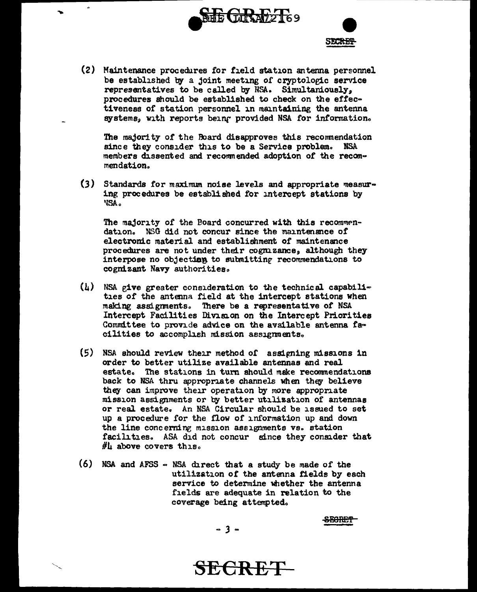



(2) Maintenance procedures for field station antenna personnel be established by a joint meeting of cryptologic service representatives to be called by NSA. Simultaniously, procedures should be established to check on the effectiveness of station personnel in maintaining the antenna systems, with reports being provided NSA for information.

 $\overline{a}$ 

The majority of the Board disapproves this recommendation since they consider this to be a Service problem. NSA members dissented and recommended adoption of the recommendation.

(3) Standards for maximum noise levels and appropriate measuring procedures be established for intercept stations by "'lSAo

The majority of the Board concurred with this recommendation. NSG did not concur since the maintenance of electronic material and establishment of maintenance procedures are not under their cognizance, although they interpose no objection to submitting recommendations to cognizant Navy authorities.

- $(h)$  NSA give greater consideration to the technical capabilities of the antenna field at the intercept stations when making assignments. There be a representative of NSA Intercept Facilities Division on the Intercept Priorities Committee to provide advice on the available antenna facilities to accomplish mission assignments.
- $(5)$  NSA should review their method of assigning missions in order to better utilize available antennas and real estate. The stations in turn should make recommendations back to NSA thru appropriate channels when they believe they can improve their operation by more appropriate mission assignments or by better utilisation or antennas or real estate. An NSA Circular should be issued to set up a procedure for the flow of information up and down the line concerning mission assignments vs. station facilities. ASA did not concur since they consider that  $\#$ h above covers this.
- (6) NSA and AFSS NSA direct that a study be made of the utilization of the antenna fields by each service to determine whether the antenna fields are adequate in relation to the coverage being attempted.

<del>SECRET</del>

 $-3-$ 

**SECRET**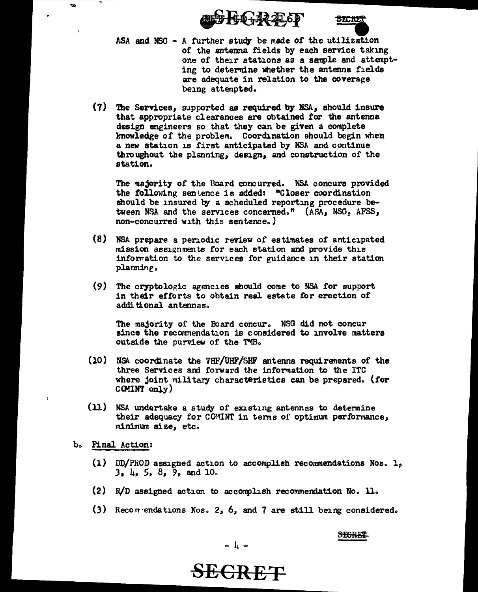



- ASA and NSG  $\sim$  A further study be made of the utilization of the antenna fields by each service taking one of their stations as a sample and attempting to determine whether the antenna fields are adequate in relation to the coverage being attempted.
- (7) The Services, supported as required by NSA, should insure that appropriate clearances are obtained for the antenna design engineers so that they can be given a complete knowledge of the problem. Coordination should begin when a new station is first anticipated by NSA and continue throughout the planning, design, and construction of the station.

The majority of the Board concurred. NSA concurs provided the following sentence is added: "Closer coordination should be insured by a scheduled reporting procedure between NSA and the services concerned." (ASA, NSG, AFSS, non-concurred with this sentence.)

- (8) NSA prepare a periodic review of estimates of anticipated mission assignments for each station and provide this information to the services for guidance in their station planning.
- (9) The cryptologic agencies should come to NSA for support in their efforts to obtain real estate for erection of additional antennas.

The majority of the Board concur. NSG did not concur since the recommendation is considered to involve matters outside the purview of the TMB.

- (10) NSA coordinate the VHF/UHF/SHF antenna requirements of the three Services and forward the information to the ITC where joint military characteristics can be prepared. (for COMINT only)
- (11) NSA undertake a study of existing antennas to determine their adequacy for COMINT in terms of optimum performance, minimum size, etc.
- b. Final Action:

 $\sim$ 

- $(1)$  DD/PROD assigned action to accomplish recommendations Nos.  $l_s$  $3, \mu, 5, 8, 9,$  and 10.
- (2) R/D assigned action to accomplish recommendation No. 11.
- (3) Recompendations Nos. 2, 6, and 7 are still being considered.

# **SEGRET**

 $\begin{array}{c} \circ \\ \circ \\ \circ \end{array}$ 

# **SECRET**